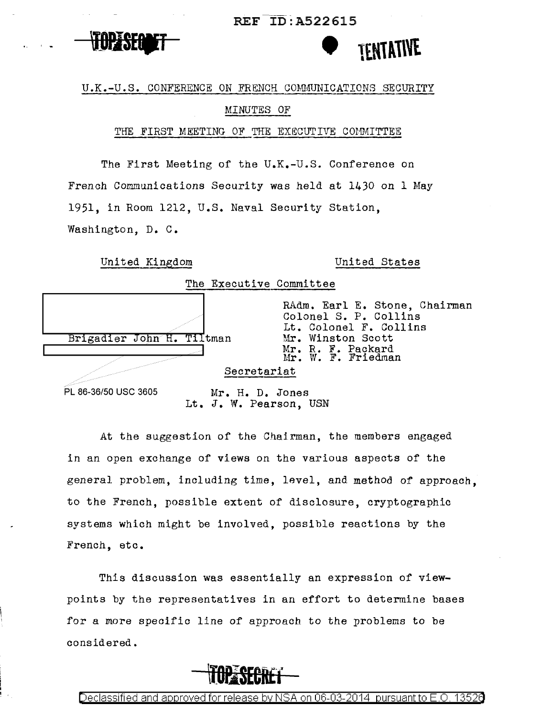REF ID:A522615





## U.K.-U.S. CONFERENCE ON FRENCH COMMUNICATIONS SECURITY

## MINUTES OF

## THE FIRST MEETING OF THE EXECUTIVE COMMITTEE

The First Meeting of the U.K.-U.S. Conference on French Communications Security was held at  $1430$  on 1 May 1951, in Room 1212, U.S. Naval Security Station, Washington. D. C.

| United Kingdom            |  |  | United States                                                                                                                                    |
|---------------------------|--|--|--------------------------------------------------------------------------------------------------------------------------------------------------|
| The Executive Committee   |  |  |                                                                                                                                                  |
| Brigadier John H. Tiltman |  |  | RAdm. Earl E. Stone, Chairman<br>Colonel S. P. Collins<br>Lt. Colonel F. Collins<br>Mr. Winston Scott<br>Mr. R. F. Packard<br>Mr. W. F. Friedman |
| Secretariat               |  |  |                                                                                                                                                  |
| PL 86-36/50 USC 3605      |  |  | Mr. H. D. Jones                                                                                                                                  |

Lt. J. W. Pearson, USN

At the suggestion of the Chairman, the members engaged in an open exchange of views on the various aspects of the general problem, including time, level, and method of approach, to the French, possible extent of disclosure, cryptographic systems which might be involved, possible reactions by the French, etc.

This discussion was essentially an expression of viewpoints by the representatives in an effort to determine bases for a more specific line of approach to the problems to be considered.



Declassified and approved for release by NSA on 06-03-2014  $\,$  pursuant to E.O.  $\,$